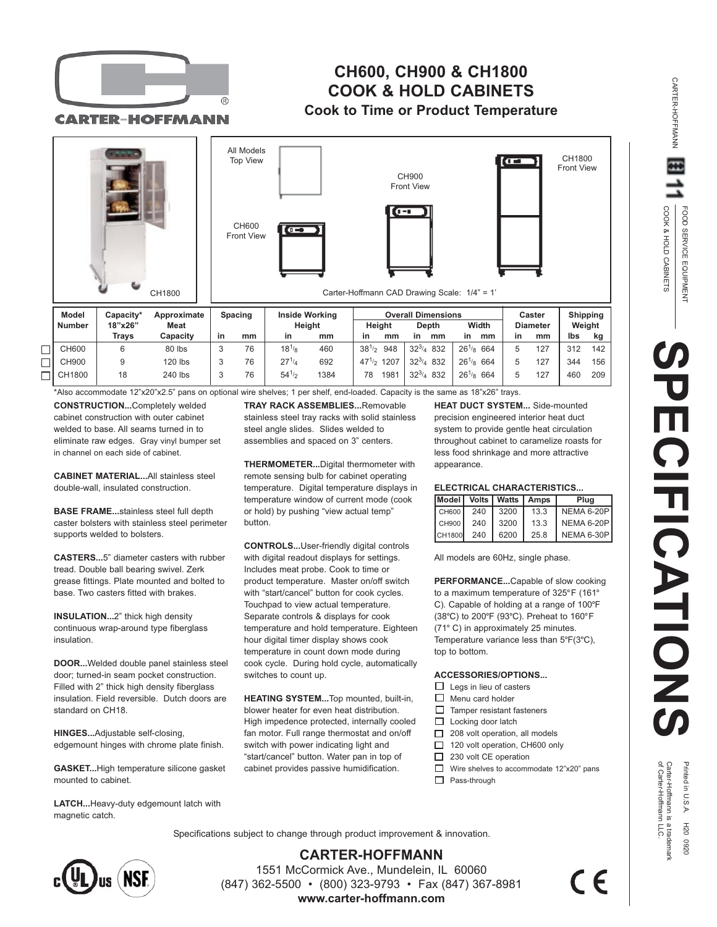

## **CH600, CH900 & CH1800 COOK & HOLD CABINETS Cook to Time or Product Temperature**

**CARTER-HOFFMANN** 



\*Also accommodate 12"x20"x2.5" pans on optional wire shelves; 1 per shelf, end-loaded. Capacity is the same as 18"x26" trays.

**CONSTRUCTION...**Completely welded cabinet construction with outer cabinet welded to base. All seams turned in to eliminate raw edges. Gray vinyl bumper set in channel on each side of cabinet.

**CABINET MATERIAL...**All stainless steel double-wall, insulated construction.

**BASE FRAME...**stainless steel full depth caster bolsters with stainless steel perimeter supports welded to bolsters.

**CASTERS...**5" diameter casters with rubber tread. Double ball bearing swivel. Zerk grease fittings. Plate mounted and bolted to base. Two casters fitted with brakes.

**INSULATION...**2" thick high density continuous wrap-around type fiberglass insulation.

**DOOR...**Welded double panel stainless steel door; turned-in seam pocket construction. Filled with 2" thick high density fiberglass insulation. Field reversible. Dutch doors are standard on CH18.

**HINGES...**Adjustable self-closing, edgemount hinges with chrome plate finish.

**GASKET...**High temperature silicone gasket mounted to cabinet.

**LATCH...**Heavy-duty edgemount latch with magnetic catch.

**TRAY RACK ASSEMBLIES...**Removable stainless steel tray racks with solid stainless steel angle slides. Slides welded to assemblies and spaced on 3" centers.

**THERMOMETER...**Digital thermometer with remote sensing bulb for cabinet operating temperature. Digital temperature displays in temperature window of current mode (cook or hold) by pushing "view actual temp" button.

**CONTROLS...**User-friendly digital controls with digital readout displays for settings. Includes meat probe. Cook to time or product temperature. Master on/off switch with "start/cancel" button for cook cycles. Touchpad to view actual temperature. Separate controls & displays for cook temperature and hold temperature. Eighteen hour digital timer display shows cook temperature in count down mode during cook cycle. During hold cycle, automatically switches to count up.

**HEATING SYSTEM...**Top mounted, built-in, blower heater for even heat distribution. High impedence protected, internally cooled fan motor. Full range thermostat and on/off switch with power indicating light and "start/cancel" button. Water pan in top of cabinet provides passive humidification.

**HEAT DUCT SYSTEM...** Side-mounted precision engineered interior heat duct system to provide gentle heat circulation throughout cabinet to caramelize roasts for less food shrinkage and more attractive appearance.

## **ELECTRICAL CHARACTERISTICS...**

|           |     |                | Model   Volts   Watts   Amps | Plua              |
|-----------|-----|----------------|------------------------------|-------------------|
|           |     | CH600 240 3200 | 13.3                         | <b>NEMA 6-20P</b> |
| CH900 240 |     | 3200           | 13.3                         | <b>NEMA 6-20P</b> |
| CH1800    | 240 | 6200           | 25.8                         | <b>NEMA 6-30P</b> |

All models are 60Hz, single phase.

**PERFORMANCE...**Capable of slow cooking to a maximum temperature of 325°F (161° C). Capable of holding at a range of 100°F (38°C) to 200°F (93°C). Preheat to 160°F (71° C) in approximately 25 minutes. Temperature variance less than 5°F(3°C), top to bottom.

## **ACCESSORIES/OPTIONS...**

- $\Box$  Legs in lieu of casters
- $\Box$ Menu card holder
- $\Box$ Tamper resistant fasteners
- □ Locking door latch
- 208 volt operation, all models п
- □ 120 volt operation, CH600 only
- □ 230 volt CE operation
- Wire shelves to accommodate 12"x20" pans
- □ Pass-through

COOK & HOLD CABINETS FOOD SERVICE EQUIPMENT

FOOD SERVICE EQUIPMENT

COOK & HOLD CABINETS

CARTER-HOFFMANN

**CARTER-HOFFMANN** 

Specifications subject to change through product improvement & innovation.



**CARTER-HOFFMANN** 1551 McCormick Ave., Mundelein, IL 60060 (847) 362-5500 • (800) 323-9793 • Fax (847) 367-8981 **www.carter-hoffmann.com**

 $\in \epsilon$